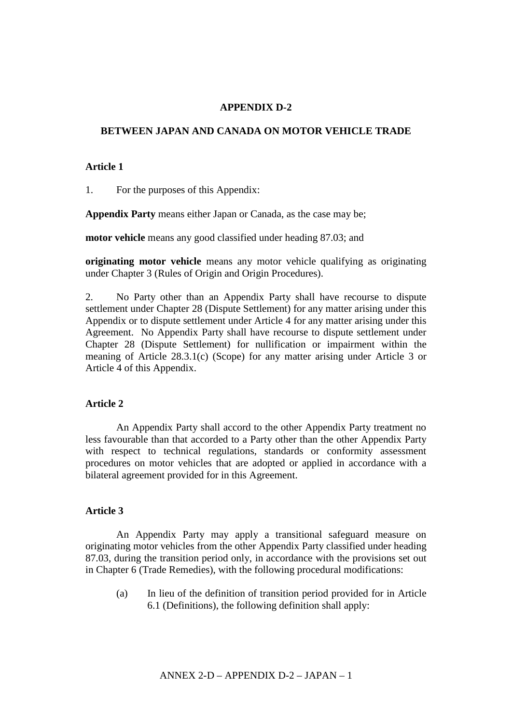# **APPENDIX D-2**

#### **BETWEEN JAPAN AND CANADA ON MOTOR VEHICLE TRADE**

#### **Article 1**

1. For the purposes of this Appendix:

**Appendix Party** means either Japan or Canada, as the case may be;

**motor vehicle** means any good classified under heading 87.03; and

**originating motor vehicle** means any motor vehicle qualifying as originating under Chapter 3 (Rules of Origin and Origin Procedures).

2. No Party other than an Appendix Party shall have recourse to dispute settlement under Chapter 28 (Dispute Settlement) for any matter arising under this Appendix or to dispute settlement under Article 4 for any matter arising under this Agreement. No Appendix Party shall have recourse to dispute settlement under Chapter 28 (Dispute Settlement) for nullification or impairment within the meaning of Article 28.3.1(c) (Scope) for any matter arising under Article 3 or Article 4 of this Appendix.

# **Article 2**

An Appendix Party shall accord to the other Appendix Party treatment no less favourable than that accorded to a Party other than the other Appendix Party with respect to technical regulations, standards or conformity assessment procedures on motor vehicles that are adopted or applied in accordance with a bilateral agreement provided for in this Agreement.

#### **Article 3**

An Appendix Party may apply a transitional safeguard measure on originating motor vehicles from the other Appendix Party classified under heading 87.03, during the transition period only, in accordance with the provisions set out in Chapter 6 (Trade Remedies), with the following procedural modifications:

(a) In lieu of the definition of transition period provided for in Article 6.1 (Definitions), the following definition shall apply: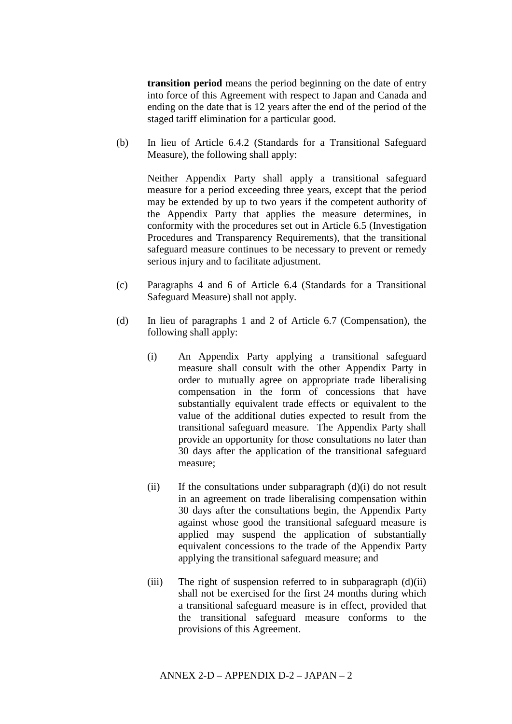**transition period** means the period beginning on the date of entry into force of this Agreement with respect to Japan and Canada and ending on the date that is 12 years after the end of the period of the staged tariff elimination for a particular good.

(b) In lieu of Article 6.4.2 (Standards for a Transitional Safeguard Measure), the following shall apply:

Neither Appendix Party shall apply a transitional safeguard measure for a period exceeding three years, except that the period may be extended by up to two years if the competent authority of the Appendix Party that applies the measure determines, in conformity with the procedures set out in Article 6.5 (Investigation Procedures and Transparency Requirements), that the transitional safeguard measure continues to be necessary to prevent or remedy serious injury and to facilitate adjustment.

- (c) Paragraphs 4 and 6 of Article 6.4 (Standards for a Transitional Safeguard Measure) shall not apply.
- (d) In lieu of paragraphs 1 and 2 of Article 6.7 (Compensation), the following shall apply:
	- (i) An Appendix Party applying a transitional safeguard measure shall consult with the other Appendix Party in order to mutually agree on appropriate trade liberalising compensation in the form of concessions that have substantially equivalent trade effects or equivalent to the value of the additional duties expected to result from the transitional safeguard measure. The Appendix Party shall provide an opportunity for those consultations no later than 30 days after the application of the transitional safeguard measure;
	- $(ii)$  If the consultations under subparagraph  $(d)(i)$  do not result in an agreement on trade liberalising compensation within 30 days after the consultations begin, the Appendix Party against whose good the transitional safeguard measure is applied may suspend the application of substantially equivalent concessions to the trade of the Appendix Party applying the transitional safeguard measure; and
	- (iii) The right of suspension referred to in subparagraph  $(d)(ii)$ shall not be exercised for the first 24 months during which a transitional safeguard measure is in effect, provided that the transitional safeguard measure conforms to the provisions of this Agreement.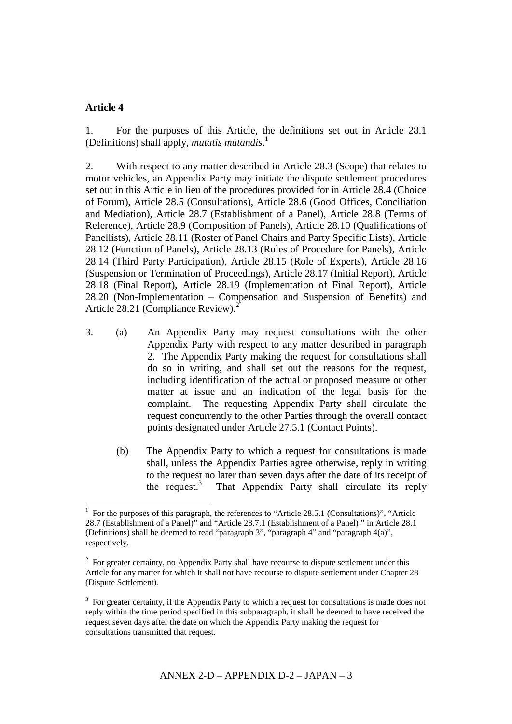# **Article 4**

<u>.</u>

1. For the purposes of this Article, the definitions set out in Article 28.1 (Definitions) shall apply, *mutatis mutandis*. 1

2. With respect to any matter described in Article 28.3 (Scope) that relates to motor vehicles, an Appendix Party may initiate the dispute settlement procedures set out in this Article in lieu of the procedures provided for in Article 28.4 (Choice of Forum), Article 28.5 (Consultations), Article 28.6 (Good Offices, Conciliation and Mediation), Article 28.7 (Establishment of a Panel), Article 28.8 (Terms of Reference), Article 28.9 (Composition of Panels), Article 28.10 (Qualifications of Panellists), Article 28.11 (Roster of Panel Chairs and Party Specific Lists), Article 28.12 (Function of Panels), Article 28.13 (Rules of Procedure for Panels), Article 28.14 (Third Party Participation), Article 28.15 (Role of Experts), Article 28.16 (Suspension or Termination of Proceedings), Article 28.17 (Initial Report), Article 28.18 (Final Report), Article 28.19 (Implementation of Final Report), Article 28.20 (Non-Implementation – Compensation and Suspension of Benefits) and Article 28.21 (Compliance Review). 2

- 3. (a) An Appendix Party may request consultations with the other Appendix Party with respect to any matter described in paragraph 2. The Appendix Party making the request for consultations shall do so in writing, and shall set out the reasons for the request, including identification of the actual or proposed measure or other matter at issue and an indication of the legal basis for the complaint. The requesting Appendix Party shall circulate the request concurrently to the other Parties through the overall contact points designated under Article 27.5.1 (Contact Points).
	- (b) The Appendix Party to which a request for consultations is made shall, unless the Appendix Parties agree otherwise, reply in writing to the request no later than seven days after the date of its receipt of the request. 3 That Appendix Party shall circulate its reply

<sup>1</sup> For the purposes of this paragraph, the references to "Article 28.5.1 (Consultations)", "Article 28.7 (Establishment of a Panel)" and "Article 28.7.1 (Establishment of a Panel) " in Article 28.1 (Definitions) shall be deemed to read "paragraph 3", "paragraph 4" and "paragraph 4(a)", respectively.

 $2^2$  For greater certainty, no Appendix Party shall have recourse to dispute settlement under this Article for any matter for which it shall not have recourse to dispute settlement under Chapter 28 (Dispute Settlement).

 $3$  For greater certainty, if the Appendix Party to which a request for consultations is made does not reply within the time period specified in this subparagraph, it shall be deemed to have received the request seven days after the date on which the Appendix Party making the request for consultations transmitted that request.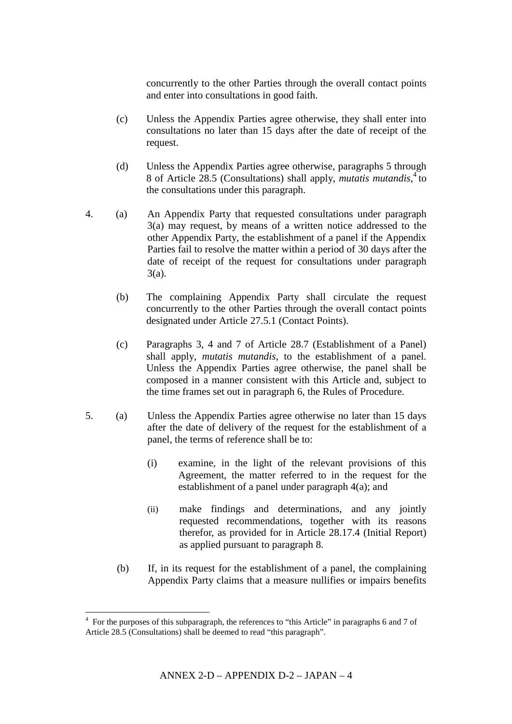concurrently to the other Parties through the overall contact points and enter into consultations in good faith.

- (c) Unless the Appendix Parties agree otherwise, they shall enter into consultations no later than 15 days after the date of receipt of the request.
- (d) Unless the Appendix Parties agree otherwise, paragraphs 5 through 8 of Article 28.5 (Consultations) shall apply, *mutatis mutandis*, 4 to the consultations under this paragraph.
- 4. (a) An Appendix Party that requested consultations under paragraph 3(a) may request, by means of a written notice addressed to the other Appendix Party, the establishment of a panel if the Appendix Parties fail to resolve the matter within a period of 30 days after the date of receipt of the request for consultations under paragraph 3(a).
	- (b) The complaining Appendix Party shall circulate the request concurrently to the other Parties through the overall contact points designated under Article 27.5.1 (Contact Points).
	- (c) Paragraphs 3, 4 and 7 of Article 28.7 (Establishment of a Panel) shall apply, *mutatis mutandis*, to the establishment of a panel. Unless the Appendix Parties agree otherwise, the panel shall be composed in a manner consistent with this Article and, subject to the time frames set out in paragraph 6, the Rules of Procedure.
- 5. (a) Unless the Appendix Parties agree otherwise no later than 15 days after the date of delivery of the request for the establishment of a panel, the terms of reference shall be to:
	- (i) examine, in the light of the relevant provisions of this Agreement, the matter referred to in the request for the establishment of a panel under paragraph  $4(a)$ ; and
	- (ii) make findings and determinations, and any jointly requested recommendations, together with its reasons therefor, as provided for in Article 28.17.4 (Initial Report) as applied pursuant to paragraph 8.
	- (b) If, in its request for the establishment of a panel, the complaining Appendix Party claims that a measure nullifies or impairs benefits

The subset of this subparagraph, the references to "this Article" in paragraphs 6 and 7 of 4 and 7 of Article 28.5 (Consultations) shall be deemed to read "this paragraph".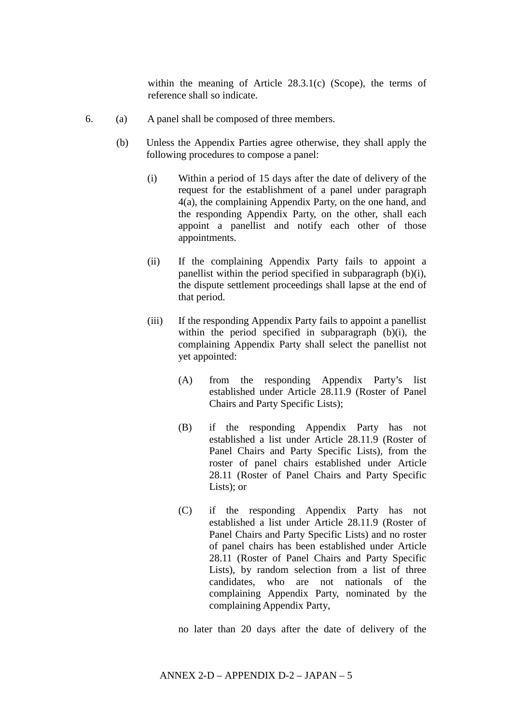within the meaning of Article 28.3.1(c) (Scope), the terms of reference shall so indicate.

- 6. (a) A panel shall be composed of three members.
	- (b) Unless the Appendix Parties agree otherwise, they shall apply the following procedures to compose a panel:
		- (i) Within a period of 15 days after the date of delivery of the request for the establishment of a panel under paragraph 4(a), the complaining Appendix Party, on the one hand, and the responding Appendix Party, on the other, shall each appoint a panellist and notify each other of those appointments.
		- (ii) If the complaining Appendix Party fails to appoint a panellist within the period specified in subparagraph (b)(i), the dispute settlement proceedings shall lapse at the end of that period.
		- (iii) If the responding Appendix Party fails to appoint a panellist within the period specified in subparagraph (b)(i), the complaining Appendix Party shall select the panellist not yet appointed:
			- (A) from the responding Appendix Party's list established under Article 28.11.9 (Roster of Panel Chairs and Party Specific Lists);
			- (B) if the responding Appendix Party has not established a list under Article 28.11.9 (Roster of Panel Chairs and Party Specific Lists), from the roster of panel chairs established under Article 28.11 (Roster of Panel Chairs and Party Specific Lists); or
			- (C) if the responding Appendix Party has not established a list under Article 28.11.9 (Roster of Panel Chairs and Party Specific Lists) and no roster of panel chairs has been established under Article 28.11 (Roster of Panel Chairs and Party Specific Lists), by random selection from a list of three candidates, who are not nationals of the complaining Appendix Party, nominated by the complaining Appendix Party,

no later than 20 days after the date of delivery of the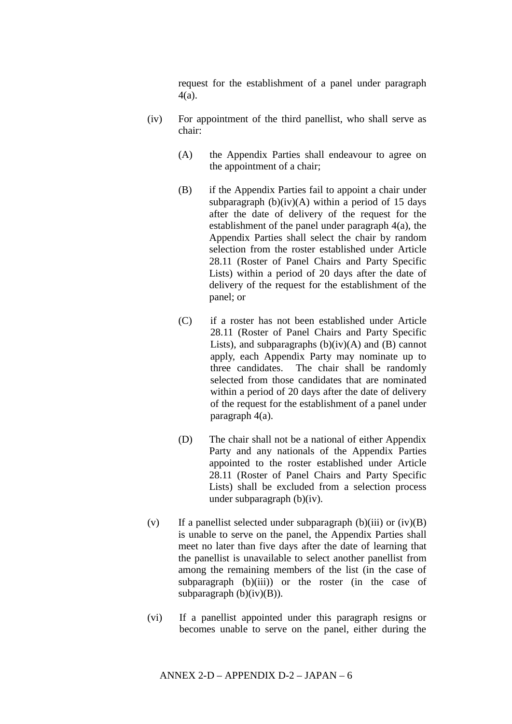request for the establishment of a panel under paragraph 4(a).

- (iv) For appointment of the third panellist, who shall serve as chair:
	- (A) the Appendix Parties shall endeavour to agree on the appointment of a chair;
	- (B) if the Appendix Parties fail to appoint a chair under subparagraph  $(b)(iv)(A)$  within a period of 15 days after the date of delivery of the request for the establishment of the panel under paragraph 4(a), the Appendix Parties shall select the chair by random selection from the roster established under Article 28.11 (Roster of Panel Chairs and Party Specific Lists) within a period of 20 days after the date of delivery of the request for the establishment of the panel; or
	- (C) if a roster has not been established under Article 28.11 (Roster of Panel Chairs and Party Specific Lists), and subparagraphs  $(b)(iv)(A)$  and  $(B)$  cannot apply, each Appendix Party may nominate up to three candidates. The chair shall be randomly selected from those candidates that are nominated within a period of 20 days after the date of delivery of the request for the establishment of a panel under paragraph 4(a).
	- (D) The chair shall not be a national of either Appendix Party and any nationals of the Appendix Parties appointed to the roster established under Article 28.11 (Roster of Panel Chairs and Party Specific Lists) shall be excluded from a selection process under subparagraph (b)(iv).
- (v) If a panellist selected under subparagraph (b)(iii) or (iv)(B) is unable to serve on the panel, the Appendix Parties shall meet no later than five days after the date of learning that the panellist is unavailable to select another panellist from among the remaining members of the list (in the case of subparagraph  $(b)(iii)$  or the roster (in the case of subparagraph  $(b)(iv)(B)$ ).
- (vi) If a panellist appointed under this paragraph resigns or becomes unable to serve on the panel, either during the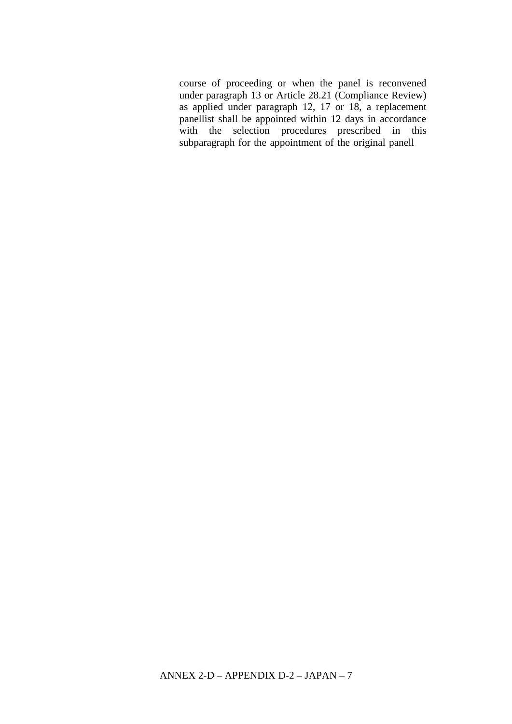course of proceeding or when the panel is reconvened under paragraph 13 or Article 28.21 (Compliance Review) as applied under paragraph 12, 17 or 18, a replacement panellist shall be appointed within 12 days in accordance with the selection procedures prescribed in this subparagraph for the appointment of the original panell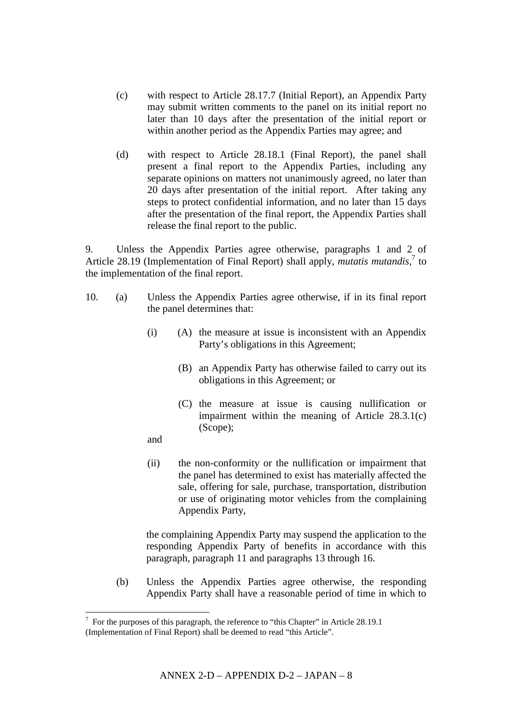- (c) with respect to Article 28.17.7 (Initial Report), an Appendix Party may submit written comments to the panel on its initial report no later than 10 days after the presentation of the initial report or within another period as the Appendix Parties may agree; and
- (d) with respect to Article 28.18.1 (Final Report), the panel shall present a final report to the Appendix Parties, including any separate opinions on matters not unanimously agreed, no later than 20 days after presentation of the initial report. After taking any steps to protect confidential information, and no later than 15 days after the presentation of the final report, the Appendix Parties shall release the final report to the public.

9. Unless the Appendix Parties agree otherwise, paragraphs 1 and 2 of Article 28.19 (Implementation of Final Report) shall apply, *mutatis mutandis*, 7 to the implementation of the final report.

- 10. (a) Unless the Appendix Parties agree otherwise, if in its final report the panel determines that:
	- (i) (A) the measure at issue is inconsistent with an Appendix Party's obligations in this Agreement;
		- (B) an Appendix Party has otherwise failed to carry out its obligations in this Agreement; or
		- (C) the measure at issue is causing nullification or impairment within the meaning of Article 28.3.1(c) (Scope);

and

(ii) the non-conformity or the nullification or impairment that the panel has determined to exist has materially affected the sale, offering for sale, purchase, transportation, distribution or use of originating motor vehicles from the complaining Appendix Party,

the complaining Appendix Party may suspend the application to the responding Appendix Party of benefits in accordance with this paragraph, paragraph 11 and paragraphs 13 through 16.

(b) Unless the Appendix Parties agree otherwise, the responding Appendix Party shall have a reasonable period of time in which to

 $\overline{a}$  For the purposes of this paragraph, the reference to "this Chapter" in Article 28.19.1

<sup>(</sup>Implementation of Final Report) shall be deemed to read "this Article".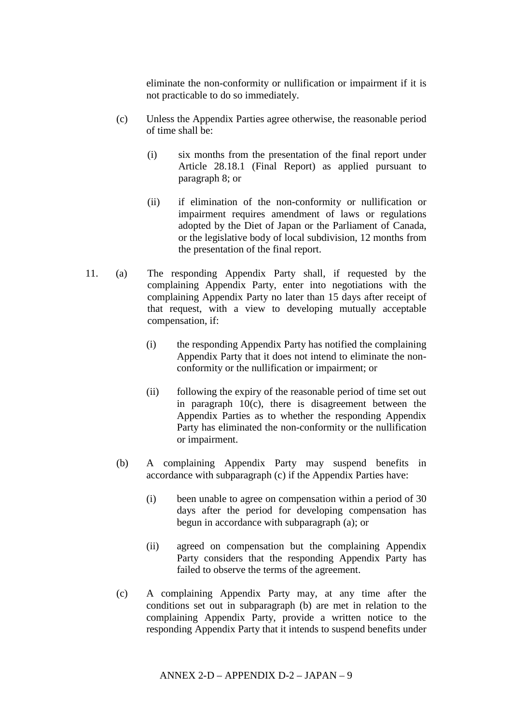eliminate the non-conformity or nullification or impairment if it is not practicable to do so immediately.

- (c) Unless the Appendix Parties agree otherwise, the reasonable period of time shall be:
	- (i) six months from the presentation of the final report under Article 28.18.1 (Final Report) as applied pursuant to paragraph 8; or
	- (ii) if elimination of the non-conformity or nullification or impairment requires amendment of laws or regulations adopted by the Diet of Japan or the Parliament of Canada, or the legislative body of local subdivision, 12 months from the presentation of the final report.
- 11. (a) The responding Appendix Party shall, if requested by the complaining Appendix Party, enter into negotiations with the complaining Appendix Party no later than 15 days after receipt of that request, with a view to developing mutually acceptable compensation, if:
	- (i) the responding Appendix Party has notified the complaining Appendix Party that it does not intend to eliminate the nonconformity or the nullification or impairment; or
	- (ii) following the expiry of the reasonable period of time set out in paragraph  $10(c)$ , there is disagreement between the Appendix Parties as to whether the responding Appendix Party has eliminated the non-conformity or the nullification or impairment.
	- (b) A complaining Appendix Party may suspend benefits in accordance with subparagraph (c) if the Appendix Parties have:
		- (i) been unable to agree on compensation within a period of 30 days after the period for developing compensation has begun in accordance with subparagraph (a); or
		- (ii) agreed on compensation but the complaining Appendix Party considers that the responding Appendix Party has failed to observe the terms of the agreement.
	- (c) A complaining Appendix Party may, at any time after the conditions set out in subparagraph (b) are met in relation to the complaining Appendix Party, provide a written notice to the responding Appendix Party that it intends to suspend benefits under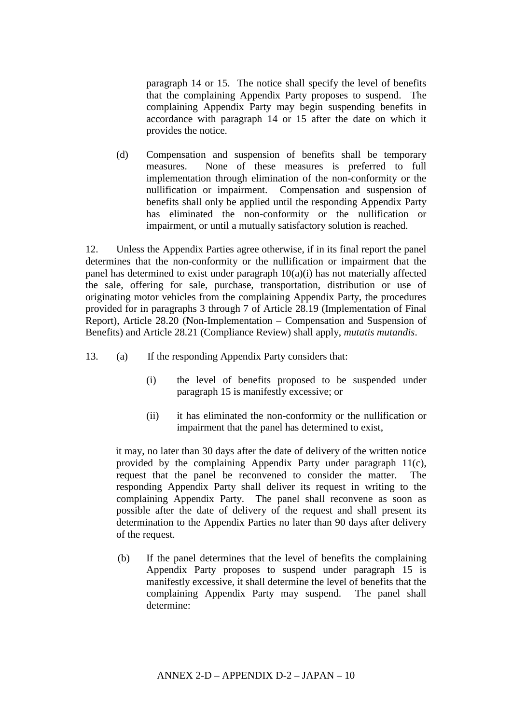paragraph 14 or 15. The notice shall specify the level of benefits that the complaining Appendix Party proposes to suspend. The complaining Appendix Party may begin suspending benefits in accordance with paragraph 14 or 15 after the date on which it provides the notice.

(d) Compensation and suspension of benefits shall be temporary measures. None of these measures is preferred to full implementation through elimination of the non-conformity or the nullification or impairment. Compensation and suspension of benefits shall only be applied until the responding Appendix Party has eliminated the non-conformity or the nullification or impairment, or until a mutually satisfactory solution is reached.

12. Unless the Appendix Parties agree otherwise, if in its final report the panel determines that the non-conformity or the nullification or impairment that the panel has determined to exist under paragraph 10(a)(i) has not materially affected the sale, offering for sale, purchase, transportation, distribution or use of originating motor vehicles from the complaining Appendix Party, the procedures provided for in paragraphs 3 through 7 of Article 28.19 (Implementation of Final Report), Article 28.20 (Non-Implementation – Compensation and Suspension of Benefits) and Article 28.21 (Compliance Review) shall apply, *mutatis mutandis*.

- 13. (a) If the responding Appendix Party considers that:
	- (i) the level of benefits proposed to be suspended under paragraph 15 is manifestly excessive; or
	- (ii) it has eliminated the non-conformity or the nullification or impairment that the panel has determined to exist,

it may, no later than 30 days after the date of delivery of the written notice provided by the complaining Appendix Party under paragraph 11(c), request that the panel be reconvened to consider the matter. The responding Appendix Party shall deliver its request in writing to the complaining Appendix Party. The panel shall reconvene as soon as possible after the date of delivery of the request and shall present its determination to the Appendix Parties no later than 90 days after delivery of the request.

(b) If the panel determines that the level of benefits the complaining Appendix Party proposes to suspend under paragraph 15 is manifestly excessive, it shall determine the level of benefits that the complaining Appendix Party may suspend. The panel shall determine: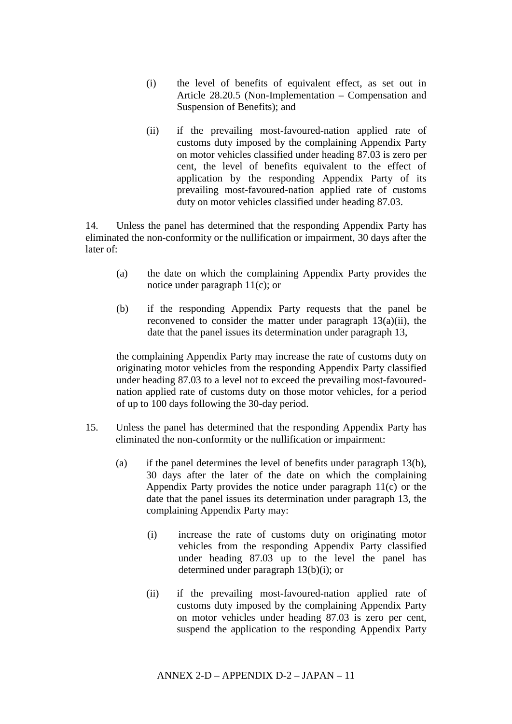- (i) the level of benefits of equivalent effect, as set out in Article 28.20.5 (Non-Implementation – Compensation and Suspension of Benefits); and
- (ii) if the prevailing most-favoured-nation applied rate of customs duty imposed by the complaining Appendix Party on motor vehicles classified under heading 87.03 is zero per cent, the level of benefits equivalent to the effect of application by the responding Appendix Party of its prevailing most-favoured-nation applied rate of customs duty on motor vehicles classified under heading 87.03.

14. Unless the panel has determined that the responding Appendix Party has eliminated the non-conformity or the nullification or impairment, 30 days after the later of:

- (a) the date on which the complaining Appendix Party provides the notice under paragraph 11(c); or
- (b) if the responding Appendix Party requests that the panel be reconvened to consider the matter under paragraph 13(a)(ii), the date that the panel issues its determination under paragraph 13,

the complaining Appendix Party may increase the rate of customs duty on originating motor vehicles from the responding Appendix Party classified under heading 87.03 to a level not to exceed the prevailing most-favourednation applied rate of customs duty on those motor vehicles, for a period of up to 100 days following the 30-day period.

- 15. Unless the panel has determined that the responding Appendix Party has eliminated the non-conformity or the nullification or impairment:
	- (a) if the panel determines the level of benefits under paragraph 13(b), 30 days after the later of the date on which the complaining Appendix Party provides the notice under paragraph 11(c) or the date that the panel issues its determination under paragraph 13, the complaining Appendix Party may:
		- (i) increase the rate of customs duty on originating motor vehicles from the responding Appendix Party classified under heading 87.03 up to the level the panel has determined under paragraph 13(b)(i); or
		- (ii) if the prevailing most-favoured-nation applied rate of customs duty imposed by the complaining Appendix Party on motor vehicles under heading 87.03 is zero per cent, suspend the application to the responding Appendix Party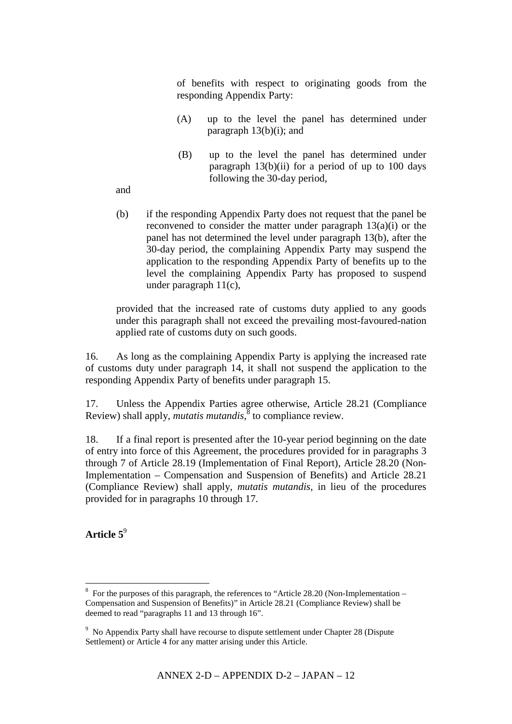of benefits with respect to originating goods from the responding Appendix Party:

- (A) up to the level the panel has determined under paragraph  $13(b)(i)$ ; and
- (B) up to the level the panel has determined under paragraph  $13(b)(ii)$  for a period of up to 100 days following the 30-day period,

and

(b) if the responding Appendix Party does not request that the panel be reconvened to consider the matter under paragraph 13(a)(i) or the panel has not determined the level under paragraph 13(b), after the 30-day period, the complaining Appendix Party may suspend the application to the responding Appendix Party of benefits up to the level the complaining Appendix Party has proposed to suspend under paragraph 11(c),

provided that the increased rate of customs duty applied to any goods under this paragraph shall not exceed the prevailing most-favoured-nation applied rate of customs duty on such goods.

16. As long as the complaining Appendix Party is applying the increased rate of customs duty under paragraph 14, it shall not suspend the application to the responding Appendix Party of benefits under paragraph 15.

17. Unless the Appendix Parties agree otherwise, Article 28.21 (Compliance Review) shall apply, *mutatis mutandis*, 8 to compliance review.

18. If a final report is presented after the 10-year period beginning on the date of entry into force of this Agreement, the procedures provided for in paragraphs 3 through 7 of Article 28.19 (Implementation of Final Report), Article 28.20 (Non-Implementation – Compensation and Suspension of Benefits) and Article 28.21 (Compliance Review) shall apply, *mutatis mutandis*, in lieu of the procedures provided for in paragraphs 10 through 17.

**Article 5** 9

1

<sup>&</sup>lt;sup>8</sup> For the purposes of this paragraph, the references to "Article 28.20 (Non-Implementation – Compensation and Suspension of Benefits)" in Article 28.21 (Compliance Review) shall be deemed to read "paragraphs 11 and 13 through 16".

<sup>&</sup>lt;sup>9</sup> No Appendix Party shall have recourse to dispute settlement under Chapter 28 (Dispute Settlement) or Article 4 for any matter arising under this Article.